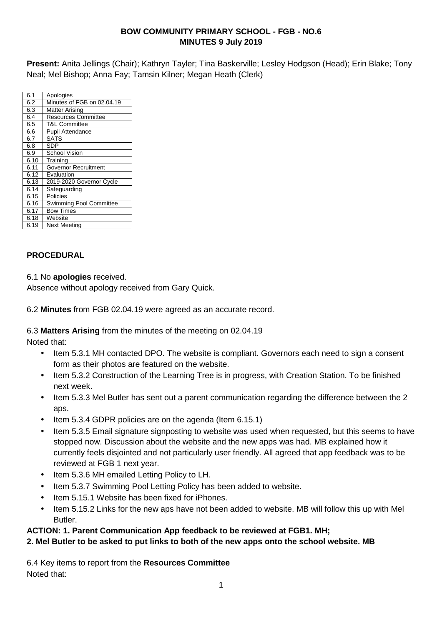# **BOW COMMUNITY PRIMARY SCHOOL - FGB - NO.6 MINUTES 9 July 2019**

**Present:** Anita Jellings (Chair); Kathryn Tayler; Tina Baskerville; Lesley Hodgson (Head); Erin Blake; Tony Neal; Mel Bishop; Anna Fay; Tamsin Kilner; Megan Heath (Clerk)

| 6.1  | Apologies                      |
|------|--------------------------------|
| 6.2  | Minutes of FGB on 02.04.19     |
| 6.3  | Matter Arising                 |
| 6.4  | <b>Resources Committee</b>     |
| 6.5  | <b>T&amp;L Committee</b>       |
| 6.6  | <b>Pupil Attendance</b>        |
| 6.7  | SATS                           |
| 6.8  | SDP                            |
| 6.9  | <b>School Vision</b>           |
| 6.10 | Training                       |
| 6.11 | Governor Recruitment           |
| 6.12 | Evaluation                     |
| 6.13 | 2019-2020 Governor Cycle       |
| 6.14 | Safequarding                   |
| 6.15 | Policies                       |
| 6.16 | <b>Swimming Pool Committee</b> |
| 6.17 | <b>Bow Times</b>               |
| 6.18 | Website                        |
| 6.19 | Next Meeting                   |
|      |                                |

# **PROCEDURAL**

6.1 No **apologies** received.

Absence without apology received from Gary Quick.

6.2 **Minutes** from FGB 02.04.19 were agreed as an accurate record.

6.3 **Matters Arising** from the minutes of the meeting on 02.04.19

Noted that:

- Item 5.3.1 MH contacted DPO. The website is compliant. Governors each need to sign a consent form as their photos are featured on the website.
- Item 5.3.2 Construction of the Learning Tree is in progress, with Creation Station. To be finished next week.
- Item 5.3.3 Mel Butler has sent out a parent communication regarding the difference between the 2 aps.
- Item 5.3.4 GDPR policies are on the agenda (Item 6.15.1)
- Item 5.3.5 Email signature signposting to website was used when requested, but this seems to have stopped now. Discussion about the website and the new apps was had. MB explained how it currently feels disjointed and not particularly user friendly. All agreed that app feedback was to be reviewed at FGB 1 next year.
- Item 5.3.6 MH emailed Letting Policy to LH.
- Item 5.3.7 Swimming Pool Letting Policy has been added to website.
- Item 5.15.1 Website has been fixed for iPhones.
- Item 5.15.2 Links for the new aps have not been added to website. MB will follow this up with Mel Butler.

# **ACTION: 1. Parent Communication App feedback to be reviewed at FGB1. MH;**

# **2. Mel Butler to be asked to put links to both of the new apps onto the school website. MB**

6.4 Key items to report from the **Resources Committee**  Noted that: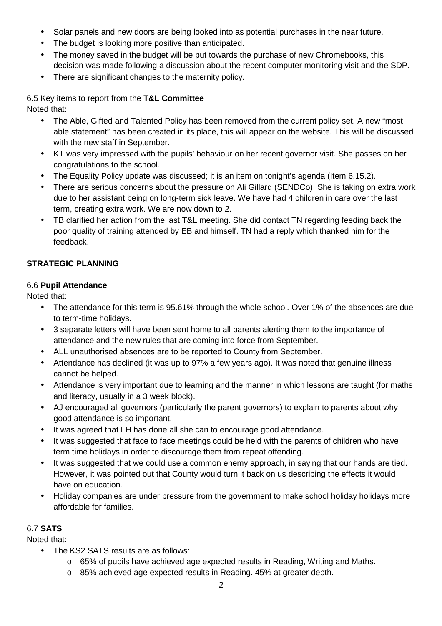- Solar panels and new doors are being looked into as potential purchases in the near future.
- The budget is looking more positive than anticipated.
- The money saved in the budget will be put towards the purchase of new Chromebooks, this decision was made following a discussion about the recent computer monitoring visit and the SDP.
- There are significant changes to the maternity policy.

6.5 Key items to report from the **T&L Committee**  Noted that:

- The Able, Gifted and Talented Policy has been removed from the current policy set. A new "most able statement" has been created in its place, this will appear on the website. This will be discussed with the new staff in September.
- KT was very impressed with the pupils' behaviour on her recent governor visit. She passes on her congratulations to the school.
- The Equality Policy update was discussed; it is an item on tonight's agenda (Item 6.15.2).
- There are serious concerns about the pressure on Ali Gillard (SENDCo). She is taking on extra work due to her assistant being on long-term sick leave. We have had 4 children in care over the last term, creating extra work. We are now down to 2.
- TB clarified her action from the last T&L meeting. She did contact TN regarding feeding back the poor quality of training attended by EB and himself. TN had a reply which thanked him for the feedback.

# **STRATEGIC PLANNING**

## 6.6 **Pupil Attendance**

Noted that:

- The attendance for this term is 95.61% through the whole school. Over 1% of the absences are due to term-time holidays.
- 3 separate letters will have been sent home to all parents alerting them to the importance of attendance and the new rules that are coming into force from September.
- ALL unauthorised absences are to be reported to County from September.
- Attendance has declined (it was up to 97% a few years ago). It was noted that genuine illness cannot be helped.
- Attendance is very important due to learning and the manner in which lessons are taught (for maths and literacy, usually in a 3 week block).
- AJ encouraged all governors (particularly the parent governors) to explain to parents about why good attendance is so important.
- It was agreed that LH has done all she can to encourage good attendance.
- It was suggested that face to face meetings could be held with the parents of children who have term time holidays in order to discourage them from repeat offending.
- It was suggested that we could use a common enemy approach, in saying that our hands are tied. However, it was pointed out that County would turn it back on us describing the effects it would have on education.
- Holiday companies are under pressure from the government to make school holiday holidays more affordable for families.

## 6.7 **SATS**

Noted that:

- The KS2 SATS results are as follows:
	- o 65% of pupils have achieved age expected results in Reading, Writing and Maths.
	- o 85% achieved age expected results in Reading. 45% at greater depth.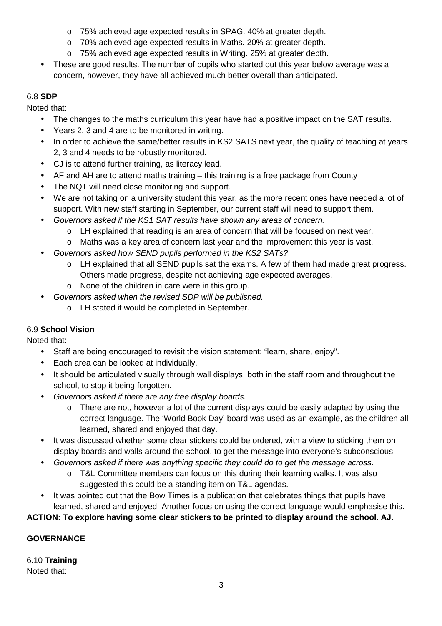- o 75% achieved age expected results in SPAG. 40% at greater depth.
- o 70% achieved age expected results in Maths. 20% at greater depth.
- o 75% achieved age expected results in Writing. 25% at greater depth.
- These are good results. The number of pupils who started out this year below average was a concern, however, they have all achieved much better overall than anticipated.

# 6.8 **SDP**

Noted that:

- The changes to the maths curriculum this year have had a positive impact on the SAT results.
- Years 2, 3 and 4 are to be monitored in writing.
- In order to achieve the same/better results in KS2 SATS next year, the quality of teaching at years 2, 3 and 4 needs to be robustly monitored.
- CJ is to attend further training, as literacy lead.
- AF and AH are to attend maths training this training is a free package from County
- The NQT will need close monitoring and support.
- We are not taking on a university student this year, as the more recent ones have needed a lot of support. With new staff starting in September, our current staff will need to support them.
- Governors asked if the KS1 SAT results have shown any areas of concern.
	- o LH explained that reading is an area of concern that will be focused on next year.
	- o Maths was a key area of concern last year and the improvement this year is vast.
- Governors asked how SEND pupils performed in the KS2 SATs?
	- o LH explained that all SEND pupils sat the exams. A few of them had made great progress. Others made progress, despite not achieving age expected averages.
	- o None of the children in care were in this group.
- Governors asked when the revised SDP will be published.
	- o LH stated it would be completed in September.

# 6.9 **School Vision**

Noted that:

- Staff are being encouraged to revisit the vision statement: "learn, share, enjoy".
- Each area can be looked at individually.
- It should be articulated visually through wall displays, both in the staff room and throughout the school, to stop it being forgotten.
- Governors asked if there are any free display boards.
	- o There are not, however a lot of the current displays could be easily adapted by using the correct language. The 'World Book Day' board was used as an example, as the children all learned, shared and enjoyed that day.
- It was discussed whether some clear stickers could be ordered, with a view to sticking them on display boards and walls around the school, to get the message into everyone's subconscious.
- Governors asked if there was anything specific they could do to get the message across.
	- o T&L Committee members can focus on this during their learning walks. It was also suggested this could be a standing item on T&L agendas.
- It was pointed out that the Bow Times is a publication that celebrates things that pupils have learned, shared and enjoyed. Another focus on using the correct language would emphasise this.

**ACTION: To explore having some clear stickers to be printed to display around the school. AJ.** 

# **GOVERNANCE**

6.10 **Training**  Noted that: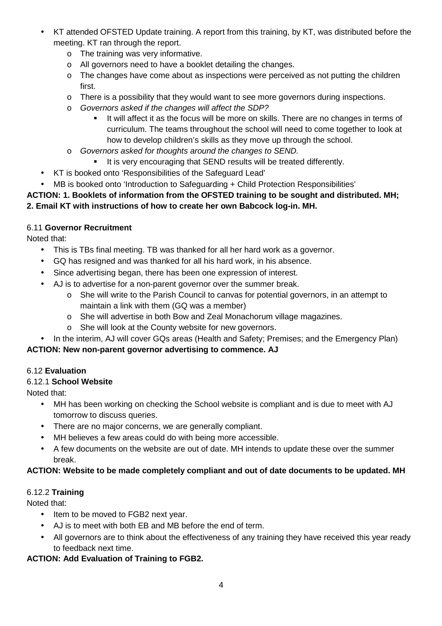- KT attended OFSTED Update training. A report from this training, by KT, was distributed before the meeting. KT ran through the report.
	- o The training was very informative.
	- o All governors need to have a booklet detailing the changes.
	- o The changes have come about as inspections were perceived as not putting the children first.
	- o There is a possibility that they would want to see more governors during inspections.
	- o Governors asked if the changes will affect the SDP?
		- It will affect it as the focus will be more on skills. There are no changes in terms of curriculum. The teams throughout the school will need to come together to look at how to develop children's skills as they move up through the school.
	- o Governors asked for thoughts around the changes to SEND.
		- It is very encouraging that SEND results will be treated differently.
- KT is booked onto 'Responsibilities of the Safeguard Lead'
- MB is booked onto 'Introduction to Safeguarding + Child Protection Responsibilities'

## **ACTION: 1. Booklets of information from the OFSTED training to be sought and distributed. MH; 2. Email KT with instructions of how to create her own Babcock log-in. MH.**

## 6.11 **Governor Recruitment**

Noted that:

- This is TBs final meeting. TB was thanked for all her hard work as a governor.
- GQ has resigned and was thanked for all his hard work, in his absence.
- Since advertising began, there has been one expression of interest.
- AJ is to advertise for a non-parent governor over the summer break.
	- o She will write to the Parish Council to canvas for potential governors, in an attempt to maintain a link with them (GQ was a member)
	- o She will advertise in both Bow and Zeal Monachorum village magazines.
	- o She will look at the County website for new governors.
- In the interim, AJ will cover GQs areas (Health and Safety; Premises; and the Emergency Plan)

## **ACTION: New non-parent governor advertising to commence. AJ**

# 6.12 **Evaluation**

## 6.12.1 **School Website**

Noted that:

- MH has been working on checking the School website is compliant and is due to meet with AJ tomorrow to discuss queries.
- There are no major concerns, we are generally compliant.
- MH believes a few areas could do with being more accessible.
- A few documents on the website are out of date. MH intends to update these over the summer break.

## **ACTION: Website to be made completely compliant and out of date documents to be updated. MH**

## 6.12.2 **Training**

Noted that:

- Item to be moved to FGB2 next year.
- AJ is to meet with both EB and MB before the end of term.
- All governors are to think about the effectiveness of any training they have received this year ready to feedback next time.

# **ACTION: Add Evaluation of Training to FGB2.**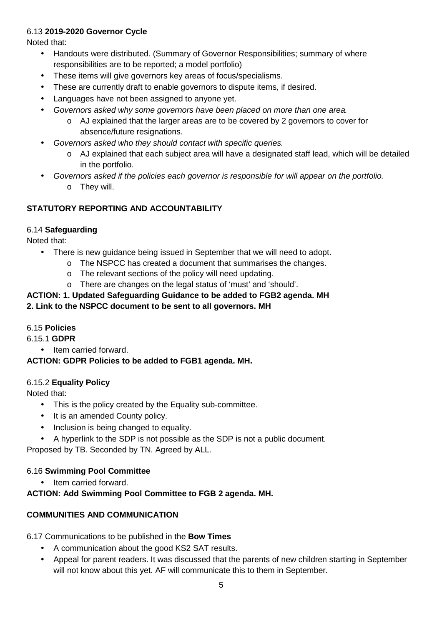## 6.13 **2019-2020 Governor Cycle**

Noted that:

- Handouts were distributed. (Summary of Governor Responsibilities; summary of where responsibilities are to be reported; a model portfolio)
- These items will give governors key areas of focus/specialisms.
- These are currently draft to enable governors to dispute items, if desired.
- Languages have not been assigned to anyone yet.
- Governors asked why some governors have been placed on more than one area.
	- o AJ explained that the larger areas are to be covered by 2 governors to cover for absence/future resignations.
- Governors asked who they should contact with specific queries.
	- o AJ explained that each subject area will have a designated staff lead, which will be detailed in the portfolio.
- Governors asked if the policies each governor is responsible for will appear on the portfolio.
	- o They will.

## **STATUTORY REPORTING AND ACCOUNTABILITY**

#### 6.14 **Safeguarding**

Noted that:

- There is new guidance being issued in September that we will need to adopt.
	- $\circ$  The NSPCC has created a document that summarises the changes.
	- o The relevant sections of the policy will need updating.
	- o There are changes on the legal status of 'must' and 'should'.

#### **ACTION: 1. Updated Safeguarding Guidance to be added to FGB2 agenda. MH**

#### **2. Link to the NSPCC document to be sent to all governors. MH**

#### 6.15 **Policies**

6.15.1 **GDPR** 

• Item carried forward.

#### **ACTION: GDPR Policies to be added to FGB1 agenda. MH.**

#### 6.15.2 **Equality Policy**

Noted that:

- This is the policy created by the Equality sub-committee.
- It is an amended County policy.
- Inclusion is being changed to equality.
- A hyperlink to the SDP is not possible as the SDP is not a public document.

Proposed by TB. Seconded by TN. Agreed by ALL.

#### 6.16 **Swimming Pool Committee**

• Item carried forward.

**ACTION: Add Swimming Pool Committee to FGB 2 agenda. MH.** 

## **COMMUNITIES AND COMMUNICATION**

6.17 Communications to be published in the **Bow Times** 

- A communication about the good KS2 SAT results.
- Appeal for parent readers. It was discussed that the parents of new children starting in September will not know about this yet. AF will communicate this to them in September.